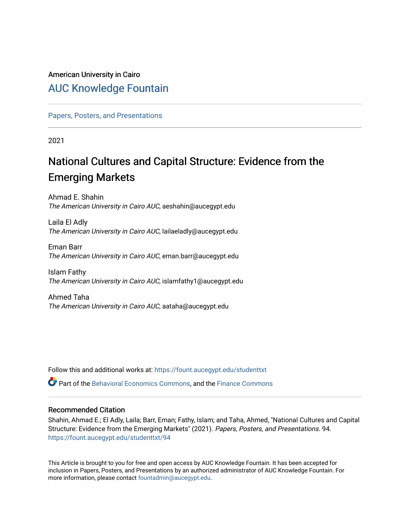## American University in Cairo [AUC Knowledge Fountain](https://fount.aucegypt.edu/)

[Papers, Posters, and Presentations](https://fount.aucegypt.edu/studenttxt)

2021

# National Cultures and Capital Structure: Evidence from the Emerging Markets

Ahmad E. Shahin The American University in Cairo AUC, aeshahin@aucegypt.edu

Laila El Adly The American University in Cairo AUC, lailaeladly@aucegypt.edu

Eman Barr The American University in Cairo AUC, eman.barr@aucegypt.edu

Islam Fathy The American University in Cairo AUC, islamfathy1@aucegypt.edu

Ahmed Taha The American University in Cairo AUC, aataha@aucegypt.edu

Follow this and additional works at: [https://fount.aucegypt.edu/studenttxt](https://fount.aucegypt.edu/studenttxt?utm_source=fount.aucegypt.edu%2Fstudenttxt%2F94&utm_medium=PDF&utm_campaign=PDFCoverPages)

Part of the [Behavioral Economics Commons](http://network.bepress.com/hgg/discipline/341?utm_source=fount.aucegypt.edu%2Fstudenttxt%2F94&utm_medium=PDF&utm_campaign=PDFCoverPages), and the [Finance Commons](http://network.bepress.com/hgg/discipline/345?utm_source=fount.aucegypt.edu%2Fstudenttxt%2F94&utm_medium=PDF&utm_campaign=PDFCoverPages) 

## Recommended Citation

Shahin, Ahmad E.; El Adly, Laila; Barr, Eman; Fathy, Islam; and Taha, Ahmed, "National Cultures and Capital Structure: Evidence from the Emerging Markets" (2021). Papers, Posters, and Presentations. 94. [https://fount.aucegypt.edu/studenttxt/94](https://fount.aucegypt.edu/studenttxt/94?utm_source=fount.aucegypt.edu%2Fstudenttxt%2F94&utm_medium=PDF&utm_campaign=PDFCoverPages) 

This Article is brought to you for free and open access by AUC Knowledge Fountain. It has been accepted for inclusion in Papers, Posters, and Presentations by an authorized administrator of AUC Knowledge Fountain. For more information, please contact [fountadmin@aucegypt.edu.](mailto:fountadmin@aucegypt.edu)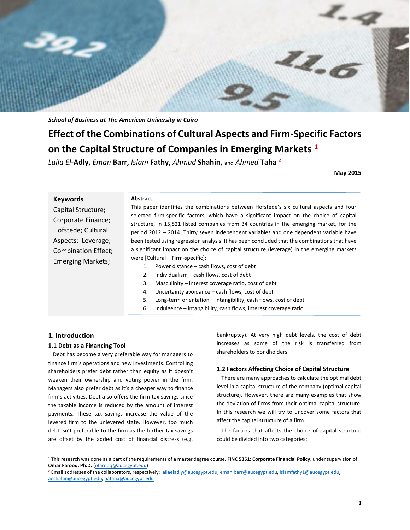

*School of Business at The American University in Cairo*

## **Effect of the Combinations of Cultural Aspects and Firm-Specific Factors on the Capital Structure of Companies in Emerging Markets <sup>1</sup>**

*Laila El-***Adly,** *Eman* **Barr,** *Islam* **Fathy,** *Ahmad* **Shahin,** and *Ahmed* **Taha <sup>2</sup>**

**May 2015**

| <b>Keywords</b>          | Abstract                                                                                                                                                                            |  |  |  |  |  |
|--------------------------|-------------------------------------------------------------------------------------------------------------------------------------------------------------------------------------|--|--|--|--|--|
| Capital Structure;       | This paper identifies the combinations between Hofstede's six cultural aspects and four                                                                                             |  |  |  |  |  |
| Corporate Finance;       | selected firm-specific factors, which have a significant impact on the choice of capital<br>structure, in 15,821 listed companies from 34 countries in the emerging market, for the |  |  |  |  |  |
| Hofstede; Cultural       | period 2012 – 2014. Thirty seven independent variables and one dependent variable have                                                                                              |  |  |  |  |  |
| Aspects; Leverage;       | been tested using regression analysis. It has been concluded that the combinations that have                                                                                        |  |  |  |  |  |
| Combination Effect;      | a significant impact on the choice of capital structure (leverage) in the emerging markets                                                                                          |  |  |  |  |  |
| <b>Emerging Markets;</b> | were [Cultural – Firm-specific]:                                                                                                                                                    |  |  |  |  |  |
|                          | Power distance – cash flows, cost of debt                                                                                                                                           |  |  |  |  |  |
|                          | Individualism – cash flows, cost of debt<br>2.                                                                                                                                      |  |  |  |  |  |
|                          | 3.<br>Masculinity – interest coverage ratio, cost of debt                                                                                                                           |  |  |  |  |  |
|                          | Uncertainty avoidance $-\cosh f$ flows, cost of debt<br>4.                                                                                                                          |  |  |  |  |  |
|                          | 5.<br>Long-term orientation $-$ intangibility, cash flows, cost of debt                                                                                                             |  |  |  |  |  |
|                          | 6.<br>Indulgence – intangibility, cash flows, interest coverage ratio                                                                                                               |  |  |  |  |  |

#### **1. Introduction**

 $\overline{a}$ 

#### **1.1 Debt as a Financing Tool**

Debt has become a very preferable way for managers to finance firm's operations and new investments. Controlling shareholders prefer debt rather than equity as it doesn't weaken their ownership and voting power in the firm. Managers also prefer debt as it's a cheaper way to finance firm's activities. Debt also offers the firm tax savings since the taxable income is reduced by the amount of interest payments. These tax savings increase the value of the levered firm to the unlevered state. However, too much debt isn't preferable to the firm as the further tax savings are offset by the added cost of financial distress (e.g. bankruptcy). At very high debt levels, the cost of debt increases as some of the risk is transferred from shareholders to bondholders.

## **1.2 Factors Affecting Choice of Capital Structure**

There are many approaches to calculate the optimal debt level in a capital structure of the company (optimal capital structure). However, there are many examples that show the deviation of firms from their optimal capital structure. In this research we will try to uncover some factors that affect the capital structure of a firm.

The factors that affects the choice of capital structure could be divided into two categories:

**<sup>1</sup>** This research was done as a part of the requirements of a master degree course, **FINC 5351: Corporate Financial Policy**, under supervision of **Omar Farooq, Ph.D.** [\(ofarooq@aucegypt.edu\)](mailto:ofarooq@aucegypt.edu)

**<sup>2</sup>** Email addresses of the collaborators, respectively[: lailaeladly@aucegypt.edu,](mailto:lailaeladly@aucegypt.edu) [eman.barr@aucegypt.edu,](mailto:eman.barr@aucegypt.edu) [islamfathy1@aucegypt.edu,](mailto:islamfathy1@aucegypt.edu)  [aeshahin@aucegypt.edu,](mailto:aeshahin@aucegypt.edu) [aataha@aucegypt.edu](mailto:aataha@aucegypt.edu)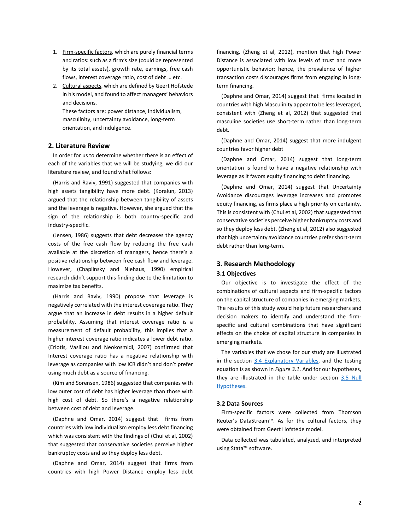- 1. Firm-specific factors, which are purely financial terms and ratios: such as a firm's size (could be represented by its total assets), growth rate, earnings, free cash flows, interest coverage ratio, cost of debt … etc.
- 2. Cultural aspects, which are defined by Geert Hofstede in his model, and found to affect managers' behaviors and decisions.

These factors are: power distance, individualism, masculinity, uncertainty avoidance, long-term orientation, and indulgence.

## **2. Literature Review**

In order for us to determine whether there is an effect of each of the variables that we will be studying, we did our literature review, and found what follows:

(Harris and Raviv, 1991) suggested that companies with high assets tangibility have more debt. (Koralun, 2013) argued that the relationship between tangibility of assets and the leverage is negative. However, she argued that the sign of the relationship is both country-specific and industry-specific.

(Jensen, 1986) suggests that debt decreases the agency costs of the free cash flow by reducing the free cash available at the discretion of managers, hence there's a positive relationship between free cash flow and leverage. However, (Chaplinsky and Niehaus, 1990) empirical research didn't support this finding due to the limitation to maximize tax benefits.

(Harris and Raviv, 1990) propose that leverage is negatively correlated with the interest coverage ratio. They argue that an increase in debt results in a higher default probability. Assuming that interest coverage ratio is a measurement of default probability, this implies that a higher interest coverage ratio indicates a lower debt ratio. (Eriotis, Vasiliou and Neokosmidi, 2007) confirmed that Interest coverage ratio has a negative relationship with leverage as companies with low ICR didn't and don't prefer using much debt as a source of financing.

(Kim and Sorensen, 1986) suggested that companies with low outer cost of debt has higher leverage than those with high cost of debt. So there's a negative relationship between cost of debt and leverage.

(Daphne and Omar, 2014) suggest that firms from countries with low individualism employ less debt financing which was consistent with the findings of (Chui et al, 2002) that suggested that conservative societies perceive higher bankruptcy costs and so they deploy less debt.

(Daphne and Omar, 2014) suggest that firms from countries with high Power Distance employ less debt

financing. (Zheng et al, 2012), mention that high Power Distance is associated with low levels of trust and more opportunistic behavior; hence, the prevalence of higher transaction costs discourages firms from engaging in longterm financing.

(Daphne and Omar, 2014) suggest that firms located in countries with high Masculinity appear to be less leveraged, consistent with (Zheng et al, 2012) that suggested that masculine societies use short-term rather than long-term debt.

(Daphne and Omar, 2014) suggest that more indulgent countries favor higher debt

(Daphne and Omar, 2014) suggest that long-term orientation is found to have a negative relationship with leverage as it favors equity financing to debt financing.

(Daphne and Omar, 2014) suggest that Uncertainty Avoidance discourages leverage increases and promotes equity financing, as firms place a high priority on certainty. This is consistent with (Chui et al, 2002) that suggested that conservative societies perceive higher bankruptcy costs and so they deploy less debt. (Zheng et al, 2012) also suggested that high uncertainty avoidance countries prefer short-term debt rather than long-term.

#### **3. Research Methodology**

#### **3.1 Objectives**

Our objective is to investigate the effect of the combinations of cultural aspects and firm-specific factors on the capital structure of companies in emerging markets. The results of this study would help future researchers and decision makers to identify and understand the firmspecific and cultural combinations that have significant effects on the choice of capital structure in companies in emerging markets.

The variables that we chose for our study are illustrated in the section [3.4 Explanatory Variables,](#page-3-0) and the testing equation is as shown in *Figure 3.1*. And for our hypotheses, they are illustrated in the table under section 3.5 Null [Hypotheses.](#page-5-0)

## **3.2 Data Sources**

Firm-specific factors were collected from Thomson Reuter's DataStream™. As for the cultural factors, they were obtained from Geert Hofstede model.

Data collected was tabulated, analyzed, and interpreted using Stata™ software.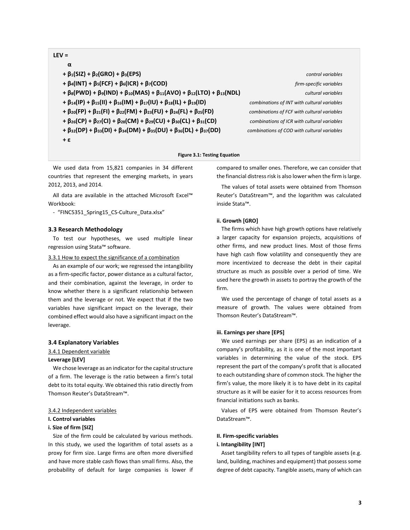## **LEV =**

| α                                                                                                                 |       |
|-------------------------------------------------------------------------------------------------------------------|-------|
| + $\beta_1(SIZ)$ + $\beta_2(GRO)$ + $\beta_3(EPS)$                                                                |       |
| $+ \beta_4(INT) + \beta_5(FCF) + \beta_6(ICR) + \beta_7(COD)$                                                     |       |
| $+\beta_8(PWD) + \beta_9(IND) + \beta_{10}(MAS) + \beta_{11}(AVO) + \beta_{12}(LTO) + \beta_{13}(NDL)$            |       |
| + $\beta_{14}(IP)$ + $\beta_{15}(II)$ + $\beta_{16}(IM)$ + $\beta_{17}(IU)$ + $\beta_{18}(IL)$ + $\beta_{19}(ID)$ | comb  |
| + $\beta_{20}(FP)$ + $\beta_{21}(FI)$ + $\beta_{22}(FM)$ + $\beta_{23}(FU)$ + $\beta_{24}(FL)$ + $\beta_{25}(FD)$ | comb  |
| + $\beta_{26}(CP)$ + $\beta_{27}(CI)$ + $\beta_{28}(CM)$ + $\beta_{29}(CU)$ + $\beta_{30}(CL)$ + $\beta_{31}(CD)$ | coml  |
| + $\beta_{32}(DP)$ + $\beta_{33}(DI)$ + $\beta_{34}(DM)$ + $\beta_{35}(DU)$ + $\beta_{36}(DL)$ + $\beta_{37}(DD)$ | combi |
| $+ \epsilon$                                                                                                      |       |

**+ β1(SIZ) + β2(GRO) + β3(EPS)** *control variables* **+ β4(INT) + β5(FCF) + β6(ICR) + β7(COD)** *firm-specific variables* **+ β8(PWD) + β9(IND) + β10(MAS) + β11(AVO) + β12(LTO) + β13(NDL)** *cultural variables* **+ β14(IP) + β15(II) + β16(IM) + β17(IU) + β18(IL) + β19(ID)** *combinations of INT with cultural variables* **+ β20(FP) + β21(FI) + β22(FM) + β23(FU) + β24(FL) + β25(FD)** *combinations of FCF with cultural variables* **+ β26(CP) + β27(CI) + β28(CM) + β29(CU) + β30(CL) + β31(CD)** *combinations of ICR with cultural variables* **+ β32(DP) + β33(DI) + β34(DM) + β35(DU) + β36(DL) + β37(DD)** *combinations of COD with cultural variables*

#### **Figure 3.1: Testing Equation**

We used data from 15,821 companies in 34 different countries that represent the emerging markets, in years 2012, 2013, and 2014.

All data are available in the attached Microsoft Excel™ Workbook:

- "FINC5351\_Spring15\_CS-Culture\_Data.xlsx"

#### **3.3 Research Methodology**

To test our hypotheses, we used multiple linear regression using Stata™ software.

#### 3.3.1 How to expect the significance of a combination

As an example of our work; we regressed the intangibility as a firm-specific factor, power distance as a cultural factor, and their combination, against the leverage, in order to know whether there is a significant relationship between them and the leverage or not. We expect that if the two variables have significant impact on the leverage, their combined effect would also have a significant impact on the leverage.

#### <span id="page-3-0"></span>**3.4 Explanatory Variables**

#### 3.4.1 Dependent variable

#### **Leverage [LEV]**

We chose leverage as an indicator for the capital structure of a firm. The leverage is the ratio between a firm's total debt to its total equity. We obtained this ratio directly from Thomson Reuter's DataStream™.

#### 3.4.2 Independent variables

## **I. Control variables**

#### **i. Size of firm [SIZ]**

Size of the firm could be calculated by various methods. In this study, we used the logarithm of total assets as a proxy for firm size. Large firms are often more diversified and have more stable cash flows than small firms. Also, the probability of default for large companies is lower if compared to smaller ones. Therefore, we can consider that the financial distress risk is also lower when the firm is large.

The values of total assets were obtained from Thomson Reuter's DataStream™, and the logarithm was calculated inside Stata™.

#### **ii. Growth [GRO]**

The firms which have high growth options have relatively a larger capacity for expansion projects, acquisitions of other firms, and new product lines. Most of those firms have high cash flow volatility and consequently they are more incentivized to decrease the debt in their capital structure as much as possible over a period of time. We used here the growth in assets to portray the growth of the firm.

We used the percentage of change of total assets as a measure of growth. The values were obtained from Thomson Reuter's DataStream™.

#### **iii. Earnings per share [EPS]**

We used earnings per share (EPS) as an indication of a company's profitability, as it is one of the most important variables in determining the value of the stock. EPS represent the part of the company's profit that is allocated to each outstanding share of common stock. The higher the firm's value, the more likely it is to have debt in its capital structure as it will be easier for it to access resources from financial initiations such as banks.

Values of EPS were obtained from Thomson Reuter's DataStream™.

#### **II. Firm-specific variables**

#### **i. Intangibility [INT]**

Asset tangibility refers to all types of tangible assets (e.g. land, building, machines and equipment) that possess some degree of debt capacity. Tangible assets, many of which can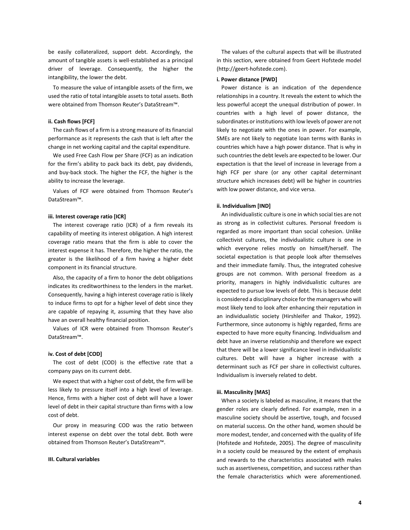be easily collateralized, support debt. Accordingly, the amount of tangible assets is well-established as a principal driver of leverage. Consequently, the higher the intangibility, the lower the debt.

To measure the value of intangible assets of the firm, we used the ratio of total intangible assets to total assets. Both were obtained from Thomson Reuter's DataStream™.

#### **ii. Cash flows [FCF]**

The cash flows of a firm is a strong measure of its financial performance as it represents the cash that is left after the change in net working capital and the capital expenditure.

We used Free Cash Flow per Share (FCF) as an indication for the firm's ability to pack back its debt, pay dividends, and buy-back stock. The higher the FCF, the higher is the ability to increase the leverage.

Values of FCF were obtained from Thomson Reuter's DataStream™.

#### **iii. Interest coverage ratio [ICR]**

The interest coverage ratio (ICR) of a firm reveals its capability of meeting its interest obligation. A high interest coverage ratio means that the firm is able to cover the interest expense it has. Therefore, the higher the ratio, the greater is the likelihood of a firm having a higher debt component in its financial structure.

Also, the capacity of a firm to honor the debt obligations indicates its creditworthiness to the lenders in the market. Consequently, having a high interest coverage ratio is likely to induce firms to opt for a higher level of debt since they are capable of repaying it, assuming that they have also have an overall healthy financial position.

Values of ICR were obtained from Thomson Reuter's DataStream™.

#### **iv. Cost of debt [COD]**

The cost of debt (COD) is the effective rate that a company pays on its current debt.

We expect that with a higher cost of debt, the firm will be less likely to pressure itself into a high level of leverage. Hence, firms with a higher cost of debt will have a lower level of debt in their capital structure than firms with a low cost of debt.

Our proxy in measuring COD was the ratio between interest expense on debt over the total debt. Both were obtained from Thomson Reuter's DataStream™.

#### **III. Cultural variables**

The values of the cultural aspects that will be illustrated in this section, were obtained from Geert Hofstede model (http://geert-hofstede.com).

#### **i. Power distance [PWD]**

Power distance is an indication of the dependence relationships in a country. It reveals the extent to which the less powerful accept the unequal distribution of power. In countries with a high level of power distance, the subordinates or institutions with low levels of power are not likely to negotiate with the ones in power. For example, SMEs are not likely to negotiate loan terms with Banks in countries which have a high power distance. That is why in such countries the debt levels are expected to be lower. Our expectation is that the level of increase in leverage from a high FCF per share (or any other capital determinant structure which increases debt) will be higher in countries with low power distance, and vice versa.

#### **ii. Individualism [IND]**

An individualistic culture is one in which social ties are not as strong as in collectivist cultures. Personal freedom is regarded as more important than social cohesion. Unlike collectivist cultures, the individualistic culture is one in which everyone relies mostly on himself/herself. The societal expectation is that people look after themselves and their immediate family. Thus, the integrated cohesive groups are not common. With personal freedom as a priority, managers in highly individualistic cultures are expected to pursue low levels of debt. This is because debt is considered a disciplinary choice for the managers who will most likely tend to look after enhancing their reputation in an individualistic society (Hirshleifer and Thakor, 1992). Furthermore, since autonomy is highly regarded, firms are expected to have more equity financing. Individualism and debt have an inverse relationship and therefore we expect that there will be a lower significance level in individualistic cultures. Debt will have a higher increase with a determinant such as FCF per share in collectivist cultures. Individualism is inversely related to debt.

#### **iii. Masculinity [MAS]**

When a society is labeled as masculine, it means that the gender roles are clearly defined. For example, men in a masculine society should be assertive, tough, and focused on material success. On the other hand, women should be more modest, tender, and concerned with the quality of life (Hofstede and Hofstede, 2005). The degree of masculinity in a society could be measured by the extent of emphasis and rewards to the characteristics associated with males such as assertiveness, competition, and success rather than the female characteristics which were aforementioned.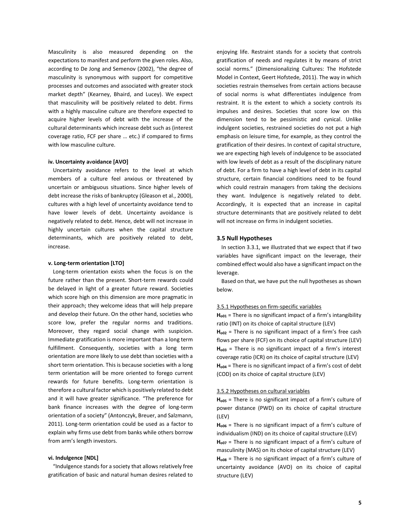Masculinity is also measured depending on the expectations to manifest and perform the given roles. Also, according to De Jong and Semenov (2002), "the degree of masculinity is synonymous with support for competitive processes and outcomes and associated with greater stock market depth" (Kearney, Bhaird, and Lucey). We expect that masculinity will be positively related to debt. Firms with a highly masculine culture are therefore expected to acquire higher levels of debt with the increase of the cultural determinants which increase debt such as (interest coverage ratio, FCF per share … etc.) if compared to firms with low masculine culture.

#### **iv. Uncertainty a**v**oidance [AVO]**

Uncertainty avoidance refers to the level at which members of a culture feel anxious or threatened by uncertain or ambiguous situations. Since higher levels of debt increase the risks of bankruptcy (Gleason et al., 2000), cultures with a high level of uncertainty avoidance tend to have lower levels of debt. Uncertainty avoidance is negatively related to debt. Hence, debt will not increase in highly uncertain cultures when the capital structure determinants, which are positively related to debt, increase.

#### **v. Long-term orientation [LTO]**

Long-term orientation exists when the focus is on the future rather than the present. Short-term rewards could be delayed in light of a greater future reward. Societies which score high on this dimension are more pragmatic in their approach; they welcome ideas that will help prepare and develop their future. On the other hand, societies who score low, prefer the regular norms and traditions. Moreover, they regard social change with suspicion. Immediate gratification is more important than a long term fulfillment. Consequently, societies with a long term orientation are more likely to use debt than societies with a short term orientation. This is because societies with a long term orientation will be more oriented to forego current rewards for future benefits. Long-term orientation is therefore a cultural factor which is positively related to debt and it will have greater significance. "The preference for bank finance increases with the degree of long-term orientation of a society" (Antonczyk, Breuer, and Salzmann, 2011). Long-term orientation could be used as a factor to explain why firms use debt from banks while others borrow from arm's length investors.

#### **vi. Indulgence [NDL]**

"Indulgence stands for a society that allows relatively free gratification of basic and natural human desires related to

enjoying life. Restraint stands for a society that controls gratification of needs and regulates it by means of strict social norms." (Dimensionalizing Cultures: The Hofstede Model in Context, Geert Hofstede, 2011). The way in which societies restrain themselves from certain actions because of social norms is what differentiates indulgence from restraint. It is the extent to which a society controls its impulses and desires. Societies that score low on this dimension tend to be pessimistic and cynical. Unlike indulgent societies, restrained societies do not put a high emphasis on leisure time, for example, as they control the gratification of their desires. In context of capital structure, we are expecting high levels of indulgence to be associated with low levels of debt as a result of the disciplinary nature of debt. For a firm to have a high level of debt in its capital structure, certain financial conditions need to be found which could restrain managers from taking the decisions they want. Indulgence is negatively related to debt. Accordingly, it is expected that an increase in capital structure determinants that are positively related to debt will not increase on firms in indulgent societies.

#### <span id="page-5-0"></span>**3.5 Null Hypotheses**

In section 3.3.1, we illustrated that we expect that if two variables have significant impact on the leverage, their combined effect would also have a significant impact on the leverage.

Based on that, we have put the null hypotheses as shown below.

#### 3.5.1 Hypotheses on firm-specific variables

H<sub>o01</sub> = There is no significant impact of a firm's intangibility ratio (INT) on its choice of capital structure (LEV) H<sub>002</sub> = There is no significant impact of a firm's free cash flows per share (FCF) on its choice of capital structure (LEV) **Ho03** = There is no significant impact of a firm's interest coverage ratio (ICR) on its choice of capital structure (LEV) H<sub>o04</sub> = There is no significant impact of a firm's cost of debt (COD) on its choice of capital structure (LEV)

## 3.5.2 Hypotheses on cultural variables

**Ho05** = There is no significant impact of a firm's culture of power distance (PWD) on its choice of capital structure (LEV)

H<sub>006</sub> = There is no significant impact of a firm's culture of individualism (IND) on its choice of capital structure (LEV) **Ho07** = There is no significant impact of a firm's culture of

masculinity (MAS) on its choice of capital structure (LEV) **Ho08** = There is no significant impact of a firm's culture of uncertainty avoidance (AVO) on its choice of capital structure (LEV)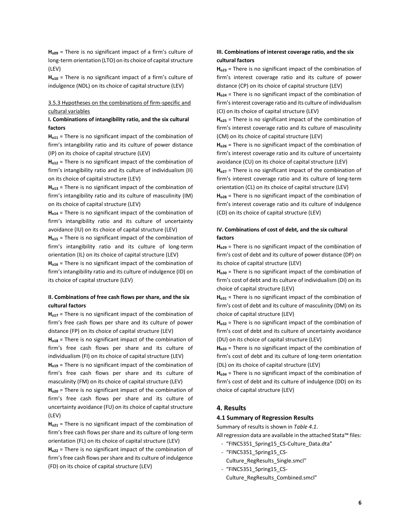**Ho09** = There is no significant impact of a firm's culture of long-term orientation (LTO) on its choice of capital structure (LEV)

**Ho10** = There is no significant impact of a firm's culture of indulgence (NDL) on its choice of capital structure (LEV)

## 3.5.3 Hypotheses on the combinations of firm-specific and cultural variables

## **I. Combinations of intangibility ratio, and the six cultural factors**

**Ho11** = There is no significant impact of the combination of firm's intangibility ratio and its culture of power distance (IP) on its choice of capital structure (LEV)

**Ho12** = There is no significant impact of the combination of firm's intangibility ratio and its culture of individualism (II) on its choice of capital structure (LEV)

**Ho13** = There is no significant impact of the combination of firm's intangibility ratio and its culture of masculinity (IM) on its choice of capital structure (LEV)

**Ho14** = There is no significant impact of the combination of firm's intangibility ratio and its culture of uncertainty avoidance (IU) on its choice of capital structure (LEV)

**Ho15** = There is no significant impact of the combination of firm's intangibility ratio and its culture of long-term orientation (IL) on its choice of capital structure (LEV)

**Ho16** = There is no significant impact of the combination of firm's intangibility ratio and its culture of indulgence (ID) on its choice of capital structure (LEV)

## **II. Combinations of free cash flows per share, and the six cultural factors**

**Ho17** = There is no significant impact of the combination of firm's free cash flows per share and its culture of power distance (FP) on its choice of capital structure (LEV)

**Ho18** = There is no significant impact of the combination of firm's free cash flows per share and its culture of individualism (FI) on its choice of capital structure (LEV)

**Ho19** = There is no significant impact of the combination of firm's free cash flows per share and its culture of masculinity (FM) on its choice of capital structure (LEV)

**Ho20** = There is no significant impact of the combination of firm's free cash flows per share and its culture of uncertainty avoidance (FU) on its choice of capital structure (LEV)

**Ho21** = There is no significant impact of the combination of firm's free cash flows per share and its culture of long-term orientation (FL) on its choice of capital structure (LEV)

**Ho22** = There is no significant impact of the combination of firm's free cash flows per share and its culture of indulgence (FD) on its choice of capital structure (LEV)

## **III. Combinations of interest coverage ratio, and the six cultural factors**

**Ho23** = There is no significant impact of the combination of firm's interest coverage ratio and its culture of power distance (CP) on its choice of capital structure (LEV)

**Ho24** = There is no significant impact of the combination of firm's interest coverage ratio and its culture of individualism (CI) on its choice of capital structure (LEV)

**Ho25** = There is no significant impact of the combination of firm's interest coverage ratio and its culture of masculinity (CM) on its choice of capital structure (LEV)

**Ho26** = There is no significant impact of the combination of firm's interest coverage ratio and its culture of uncertainty avoidance (CU) on its choice of capital structure (LEV)

**Ho27** = There is no significant impact of the combination of firm's interest coverage ratio and its culture of long-term orientation (CL) on its choice of capital structure (LEV)

**Ho28** = There is no significant impact of the combination of firm's interest coverage ratio and its culture of indulgence (CD) on its choice of capital structure (LEV)

## **IV. Combinations of cost of debt, and the six cultural factors**

**Ho29** = There is no significant impact of the combination of firm's cost of debt and its culture of power distance (DP) on its choice of capital structure (LEV)

**Ho30** = There is no significant impact of the combination of firm's cost of debt and its culture of individualism (DI) on its choice of capital structure (LEV)

**Ho31** = There is no significant impact of the combination of firm's cost of debt and its culture of masculinity (DM) on its choice of capital structure (LEV)

**Ho32** = There is no significant impact of the combination of firm's cost of debt and its culture of uncertainty avoidance (DU) on its choice of capital structure (LEV)

**Ho33** = There is no significant impact of the combination of firm's cost of debt and its culture of long-term orientation (DL) on its choice of capital structure (LEV)

**Ho34** = There is no significant impact of the combination of firm's cost of debt and its culture of indulgence (DD) on its choice of capital structure (LEV)

## **4. Results**

#### **4.1 Summary of Regression Results**

Summary of results is shown in *Table 4.1*.

All regression data are available in the attached Stata™ files:

- "FINC5351\_Spring15\_CS-Culture\_Data.dta"
- "FINC5351\_Spring15\_CS-Culture\_RegResults\_Single.smcl"
- "FINC5351\_Spring15\_CS-Culture RegResults Combined.smcl"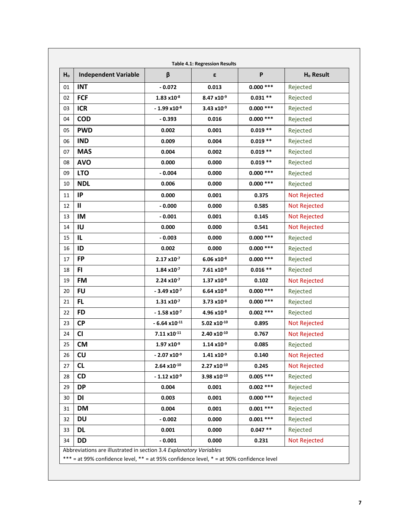| Ho | <b>Independent Variable</b> | β                          | ε                      | $\boldsymbol{\mathsf{P}}$ | H <sub>o</sub> Result |
|----|-----------------------------|----------------------------|------------------------|---------------------------|-----------------------|
| 01 | <b>INT</b>                  | $-0.072$                   | 0.013                  | $0.000$ ***               | Rejected              |
| 02 | <b>FCF</b>                  | $1.83 \times 10^{-8}$      | $8.47 \times 10^{-9}$  | $0.031**$                 | Rejected              |
| 03 | <b>ICR</b>                  | $-1.99x10^{-8}$            | 3.43 $x10^{-9}$        | $0.000$ ***               | Rejected              |
| 04 | <b>COD</b>                  | $-0.393$                   | 0.016                  | $0.000$ ***               | Rejected              |
| 05 | <b>PWD</b>                  | 0.002                      | 0.001                  | $0.019**$                 | Rejected              |
| 06 | <b>IND</b>                  | 0.009                      | 0.004                  | $0.019**$                 | Rejected              |
| 07 | <b>MAS</b>                  | 0.004                      | 0.002                  | $0.019**$                 | Rejected              |
| 08 | <b>AVO</b>                  | 0.000                      | 0.000                  | $0.019**$                 | Rejected              |
| 09 | <b>LTO</b>                  | $-0.004$                   | 0.000                  | $0.000***$                | Rejected              |
| 10 | <b>NDL</b>                  | 0.006                      | 0.000                  | $0.000***$                | Rejected              |
| 11 | IP                          | 0.000                      | 0.001                  | 0.375                     | Not Rejected          |
| 12 | Ш                           | $-0.000$                   | 0.000                  | 0.585                     | Not Rejected          |
| 13 | IM                          | $-0.001$                   | 0.001                  | 0.145                     | Not Rejected          |
| 14 | IU                          | 0.000                      | 0.000                  | 0.541                     | Not Rejected          |
| 15 | IL                          | $-0.003$                   | 0.000                  | $0.000***$                | Rejected              |
| 16 | ID                          | 0.002                      | 0.000                  | $0.000***$                | Rejected              |
| 17 | FP                          | $2.17 \times 10^{-7}$      | $6.06 \times 10^{-8}$  | $0.000***$                | Rejected              |
| 18 | FI                          | $1.84 \times 10^{-7}$      | 7.61 x10 <sup>-8</sup> | $0.016**$                 | Rejected              |
| 19 | FM                          | $2.24 \times 10^{-7}$      | $1.37 \times 10^{-8}$  | 0.102                     | Not Rejected          |
| 20 | <b>FU</b>                   | $-3.49 \times 10^{-7}$     | $6.64 \times 10^{-8}$  | $0.000***$                | Rejected              |
| 21 | FL                          | $1.31 \times 10^{-7}$      | 3.73 x10 <sup>-8</sup> | $0.000***$                | Rejected              |
| 22 | <b>FD</b>                   | $-1.58x10^{-7}$            | 4.96 x10-8             | $0.002$ ***               | Rejected              |
| 23 | <b>CP</b>                   | $-6.64$ x10 <sup>-11</sup> | 5.02 $x10^{-10}$       | 0.895                     | Not Rejected          |
| 24 | <b>CI</b>                   | 7.11 x10-11                | 2.40 x10-10            | 0.767                     | Not Rejected          |
| 25 | <b>CM</b>                   | $1.97 \times 10^{-9}$      | $1.14 \times 10^{-9}$  | 0.085                     | Rejected              |
| 26 | CU                          | $-2.07 \times 10^{-9}$     | $1.41 \times 10^{-9}$  | 0.140                     | <b>Not Rejected</b>   |
| 27 | CL                          | $2.64 \times 10^{-10}$     | $2.27 \times 10^{-10}$ | 0.245                     | <b>Not Rejected</b>   |
| 28 | CD                          | $-1.12 \times 10^{-9}$     | 3.98 x10-10            | $0.005$ ***               | Rejected              |
| 29 | <b>DP</b>                   | 0.004                      | 0.001                  | $0.002$ ***               | Rejected              |
| 30 | DI                          | 0.003                      | 0.001                  | $0.000$ ***               | Rejected              |
| 31 | <b>DM</b>                   | 0.004                      | 0.001                  | $0.001$ ***               | Rejected              |
| 32 | <b>DU</b>                   | $-0.002$                   | 0.000                  | $0.001$ ***               | Rejected              |
| 33 | <b>DL</b>                   | 0.001                      | 0.000                  | $0.047**$                 | Rejected              |
| 34 | <b>DD</b>                   | $-0.001$                   | 0.000                  | 0.231                     | Not Rejected          |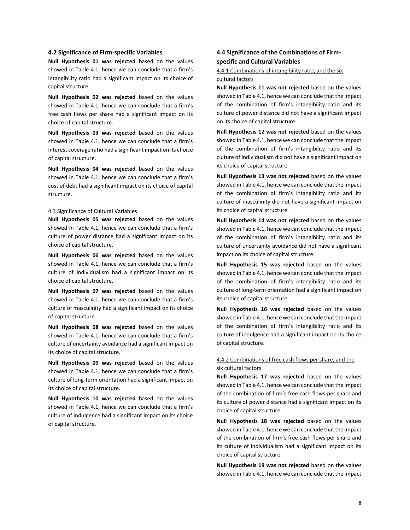#### **4.2 Significance of Firm-specific Variables**

**Null Hypothesis 01 was rejected** based on the values showed in Table 4.1, hence we can conclude that a firm's intangibility ratio had a significant impact on its choice of capital structure.

**Null Hypothesis 02 was rejected** based on the values showed in Table 4.1, hence we can conclude that a firm's free cash flows per share had a significant impact on its choice of capital structure.

**Null Hypothesis 03 was rejected** based on the values showed in Table 4.1, hence we can conclude that a firm's interest coverage ratio had a significant impact on its choice of capital structure.

**Null Hypothesis 04 was rejected** based on the values showed in Table 4.1, hence we can conclude that a firm's cost of debt had a significant impact on its choice of capital structure.

#### 4.3 Significance of Cultural Variables

**Null Hypothesis 05 was rejected** based on the values showed in Table 4.1, hence we can conclude that a firm's culture of power distance had a significant impact on its choice of capital structure.

**Null Hypothesis 06 was rejected** based on the values showed in Table 4.1, hence we can conclude that a firm's culture of individualism had a significant impact on its choice of capital structure.

**Null Hypothesis 07 was rejected** based on the values showed in Table 4.1, hence we can conclude that a firm's culture of masculinity had a significant impact on its choice of capital structure.

**Null Hypothesis 08 was rejected** based on the values showed in Table 4.1, hence we can conclude that a firm's culture of uncertainty avoidance had a significant impact on its choice of capital structure.

**Null Hypothesis 09 was rejected** based on the values showed in Table 4.1, hence we can conclude that a firm's culture of long-term orientation had a significant impact on its choice of capital structure.

**Null Hypothesis 10 was rejected** based on the values showed in Table 4.1, hence we can conclude that a firm's culture of indulgence had a significant impact on its choice of capital structure.

## **4.4 Significance of the Combinations of Firmspecific and Cultural Variables**

## 4.4.1 Combinations of intangibility ratio, and the six cultural factors

**Null Hypothesis 11 was not rejected** based on the values showed in Table 4.1, hence we can conclude that the impact of the combination of firm's intangibility ratio and its culture of power distance did not have a significant impact on its choice of capital structure.

**Null Hypothesis 12 was not rejected** based on the values showed in Table 4.1, hence we can conclude that the impact of the combination of firm's intangibility ratio and its culture of individualism did not have a significant impact on its choice of capital structure.

**Null Hypothesis 13 was not rejected** based on the values showed in Table 4.1, hence we can conclude that the impact of the combination of firm's intangibility ratio and its culture of masculinity did not have a significant impact on its choice of capital structure.

**Null Hypothesis 14 was not rejected** based on the values showed in Table 4.1, hence we can conclude that the impact of the combination of firm's intangibility ratio and its culture of uncertainty avoidance did not have a significant impact on its choice of capital structure.

**Null Hypothesis 15 was rejected** based on the values showed in Table 4.1, hence we can conclude that the impact of the combination of firm's intangibility ratio and its culture of long-term orientation had a significant impact on its choice of capital structure.

**Null Hypothesis 16 was rejected** based on the values showed in Table 4.1, hence we can conclude that the impact of the combination of firm's intangibility ratio and its culture of indulgence had a significant impact on its choice of capital structure.

## 4.4.2 Combinations of free cash flows per share, and the six cultural factors

**Null Hypothesis 17 was rejected** based on the values showed in Table 4.1, hence we can conclude that the impact of the combination of firm's free cash flows per share and its culture of power distance had a significant impact on its choice of capital structure.

**Null Hypothesis 18 was rejected** based on the values showed in Table 4.1, hence we can conclude that the impact of the combination of firm's free cash flows per share and its culture of individualism had a significant impact on its choice of capital structure.

**Null Hypothesis 19 was not rejected** based on the values showed in Table 4.1, hence we can conclude that the impact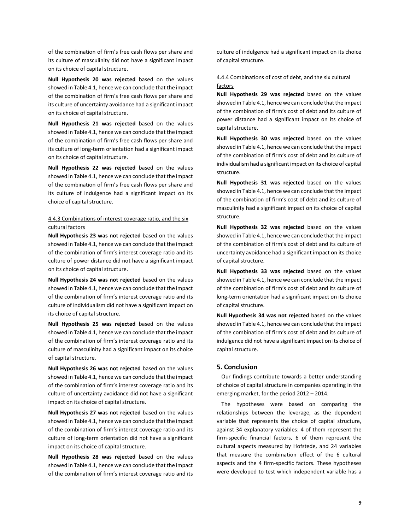of the combination of firm's free cash flows per share and its culture of masculinity did not have a significant impact on its choice of capital structure.

**Null Hypothesis 20 was rejected** based on the values showed in Table 4.1, hence we can conclude that the impact of the combination of firm's free cash flows per share and its culture of uncertainty avoidance had a significant impact on its choice of capital structure.

**Null Hypothesis 21 was rejected** based on the values showed in Table 4.1, hence we can conclude that the impact of the combination of firm's free cash flows per share and its culture of long-term orientation had a significant impact on its choice of capital structure.

**Null Hypothesis 22 was rejected** based on the values showed in Table 4.1, hence we can conclude that the impact of the combination of firm's free cash flows per share and its culture of indulgence had a significant impact on its choice of capital structure.

## 4.4.3 Combinations of interest coverage ratio, and the six cultural factors

**Null Hypothesis 23 was not rejected** based on the values showed in Table 4.1, hence we can conclude that the impact of the combination of firm's interest coverage ratio and its culture of power distance did not have a significant impact on its choice of capital structure.

**Null Hypothesis 24 was not rejected** based on the values showed in Table 4.1, hence we can conclude that the impact of the combination of firm's interest coverage ratio and its culture of individualism did not have a significant impact on its choice of capital structure.

**Null Hypothesis 25 was rejected** based on the values showed in Table 4.1, hence we can conclude that the impact of the combination of firm's interest coverage ratio and its culture of masculinity had a significant impact on its choice of capital structure.

**Null Hypothesis 26 was not rejected** based on the values showed in Table 4.1, hence we can conclude that the impact of the combination of firm's interest coverage ratio and its culture of uncertainty avoidance did not have a significant impact on its choice of capital structure.

**Null Hypothesis 27 was not rejected** based on the values showed in Table 4.1, hence we can conclude that the impact of the combination of firm's interest coverage ratio and its culture of long-term orientation did not have a significant impact on its choice of capital structure.

**Null Hypothesis 28 was rejected** based on the values showed in Table 4.1, hence we can conclude that the impact of the combination of firm's interest coverage ratio and its culture of indulgence had a significant impact on its choice of capital structure.

## 4.4.4 Combinations of cost of debt, and the six cultural factors

**Null Hypothesis 29 was rejected** based on the values showed in Table 4.1, hence we can conclude that the impact of the combination of firm's cost of debt and its culture of power distance had a significant impact on its choice of capital structure.

**Null Hypothesis 30 was rejected** based on the values showed in Table 4.1, hence we can conclude that the impact of the combination of firm's cost of debt and its culture of individualism had a significant impact on its choice of capital structure.

**Null Hypothesis 31 was rejected** based on the values showed in Table 4.1, hence we can conclude that the impact of the combination of firm's cost of debt and its culture of masculinity had a significant impact on its choice of capital structure.

**Null Hypothesis 32 was rejected** based on the values showed in Table 4.1, hence we can conclude that the impact of the combination of firm's cost of debt and its culture of uncertainty avoidance had a significant impact on its choice of capital structure.

**Null Hypothesis 33 was rejected** based on the values showed in Table 4.1, hence we can conclude that the impact of the combination of firm's cost of debt and its culture of long-term orientation had a significant impact on its choice of capital structure.

**Null Hypothesis 34 was not rejected** based on the values showed in Table 4.1, hence we can conclude that the impact of the combination of firm's cost of debt and its culture of indulgence did not have a significant impact on its choice of capital structure.

### **5. Conclusion**

Our findings contribute towards a better understanding of choice of capital structure in companies operating in the emerging market, for the period 2012 – 2014.

The hypotheses were based on comparing the relationships between the leverage, as the dependent variable that represents the choice of capital structure, against 34 explanatory variables: 4 of them represent the firm-specific financial factors, 6 of them represent the cultural aspects measured by Hofstede, and 24 variables that measure the combination effect of the 6 cultural aspects and the 4 firm-specific factors. These hypotheses were developed to test which independent variable has a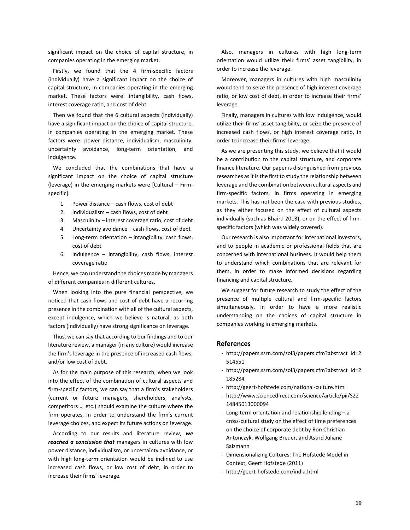significant impact on the choice of capital structure, in companies operating in the emerging market.

Firstly, we found that the 4 firm-specific factors (individually) have a significant impact on the choice of capital structure, in companies operating in the emerging market. These factors were: intangibility, cash flows, interest coverage ratio, and cost of debt.

Then we found that the 6 cultural aspects (individually) have a significant impact on the choice of capital structure, in companies operating in the emerging market. These factors were: power distance, individualism, masculinity, uncertainty avoidance, long-term orientation, and indulgence.

We concluded that the combinations that have a significant impact on the choice of capital structure (leverage) in the emerging markets were [Cultural – Firmspecific]:

- 1. Power distance cash flows, cost of debt
- 2. Individualism cash flows, cost of debt
- 3. Masculinity interest coverage ratio, cost of debt
- 4. Uncertainty avoidance cash flows, cost of debt
- 5. Long-term orientation intangibility, cash flows, cost of debt
- 6. Indulgence intangibility, cash flows, interest coverage ratio

Hence, we can understand the choices made by managers of different companies in different cultures.

When looking into the pure financial perspective, we noticed that cash flows and cost of debt have a recurring presence in the combination with all of the cultural aspects, except indulgence, which we believe is natural, as both factors (individually) have strong significance on leverage.

Thus, we can say that according to our findings and to our literature review, a manager (in any culture) would increase the firm's leverage in the presence of increased cash flows, and/or low cost of debt.

As for the main purpose of this research, when we look into the effect of the combination of cultural aspects and firm-specific factors, we can say that a firm's stakeholders (current or future managers, shareholders, analysts, competitors … etc.) should examine the culture where the firm operates, in order to understand the firm's current leverage choices, and expect its future actions on leverage.

According to our results and literature review, *we reached a conclusion that* managers in cultures with low power distance, individualism, or uncertainty avoidance, or with high long-term orientation would be inclined to use increased cash flows, or low cost of debt, in order to increase their firms' leverage.

Also, managers in cultures with high long-term orientation would utilize their firms' asset tangibility, in order to increase the leverage.

Moreover, managers in cultures with high masculinity would tend to seize the presence of high interest coverage ratio, or low cost of debt, in order to increase their firms' leverage.

Finally, managers in cultures with low indulgence, would utilize their firms' asset tangibility, or seize the presence of increased cash flows, or high interest coverage ratio, in order to increase their firms' leverage.

As we are presenting this study, we believe that it would be a contribution to the capital structure, and corporate finance literature. Our paper is distinguished from previous researches as it is the first to study the relationship between leverage and the combination between cultural aspects and firm-specific factors, in firms operating in emerging markets. This has not been the case with previous studies, as they either focused on the effect of cultural aspects individually (such as Bhaird 2013), or on the effect of firmspecific factors (which was widely covered).

Our research is also important for international investors, and to people in academic or professional fields that are concerned with international business. It would help them to understand which combinations that are relevant for them, in order to make informed decisions regarding financing and capital structure.

We suggest for future research to study the effect of the presence of multiple cultural and firm-specific factors simultaneously, in order to have a more realistic understanding on the choices of capital structure in companies working in emerging markets.

#### **References**

- http://papers.ssrn.com/sol3/papers.cfm?abstract\_id=2 514551
- http://papers.ssrn.com/sol3/papers.cfm?abstract\_id=2 185284
- http://geert-hofstede.com/national-culture.html
- http://www.sciencedirect.com/science/article/pii/S22 14845013000094
- Long-term orientation and relationship lending a cross-cultural study on the effect of time preferences on the choice of corporate debt by Ron Christian Antonczyk, Wolfgang Breuer, and Astrid Juliane Salzmann
- Dimensionalizing Cultures: The Hofstede Model in Context, Geert Hofstede (2011)
- http://geert-hofstede.com/india.html